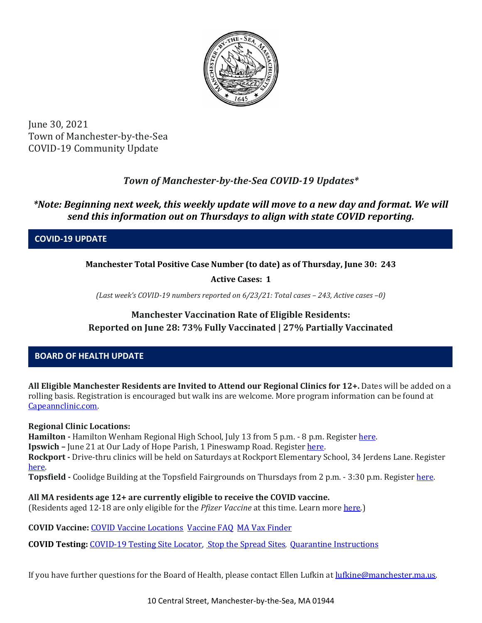

June 30, 2021 Town of Manchester-by-the-Sea COVID-19 Community Update

# *Town of Manchester-by-the-Sea COVID-19 Updates\**

## *\*Note: Beginning next week, this weekly update will move to a new day and format. We will send this information out on Thursdays to align with state COVID reporting.*

**COVID-19 UPDATE**

**Manchester Total Positive Case Number (to date) as of Thursday, June 30: 243**

**Active Cases: 1**

*(Last week's COVID-19 numbers reported on 6/23/21: Total cases – 243, Active cases –0)*

## **Manchester Vaccination Rate of Eligible Residents: Reported on June 28: 73% Fully Vaccinated | 27% Partially Vaccinated**

## **BOARD OF HEALTH UPDATE**

**All Eligible Manchester Residents are Invited to Attend our Regional Clinics for 12+.** Dates will be added on a rolling basis. Registration is encouraged but walk ins are welcome. More program information can be found at [Capeannclinic.com.](https://capeannclinic.com/)

### **Regional Clinic Locations:**

Hamilton **-** Hamilton Wenham Regional High School, July 13 from 5 p.m. - 8 p.m. Register [here.](https://home.color.com/vaccine/register/capeann) **Ipswich –** June 21 at Our Lady of Hope Parish, 1 Pineswamp Road. Registe[r here.](https://vaxfinder.mass.gov/locations/ipswich-our-lady-of-hope-parish-church/) **Rockport -** Drive-thru clinics will be held on Saturdays at Rockport Elementary School, 34 Jerdens Lane. Register [here.](https://vaxfinder.mass.gov/locations/rockport-rockport-elementary-school/)

**Topsfield -** Coolidge Building at the Topsfield Fairgrounds on Thursdays from 2 p.m. - 3:30 p.m. Registe[r here.](https://vaxfinder.mass.gov/locations/topsfield-topsfield-fairgrounds-coolidge-hall/)

**All MA residents age 12+ are currently eligible to receive the COVID vaccine.**  (Residents aged 12-18 are only eligible for the *Pfizer Vaccine* at this time. Learn mor[e here.](https://www.mass.gov/info-details/covid-19-vaccinations-for-people-under-age-18))

**COVID Vaccine:** [COVID Vaccine Locations](https://www.mass.gov/info-details/preregister-for-a-covid-19-vaccine-appointment) [Vaccine FAQ](https://www.mass.gov/info-details/preregister-for-a-covid-19-vaccine-appointment) MA [Vax Finder](https://www.mass.gov/info-details/preregister-for-a-covid-19-vaccine-appointment)

**COVID Testing:** [COVID-19 Testing Site Locator,](https://memamaps.maps.arcgis.com/apps/webappviewer/index.html?id=eba3f0395451430b9f631cb095febf13) [Stop the Spread Sites](https://www.mass.gov/info-details/stop-the-spread)*,* [Quarantine Instructions](http://manchester.ma.us/DocumentCenter/View/3558/14-10-7-day-COVID19_Quarantine-information-1272020)

If you have further questions for the Board of Health, please contact Ellen Lufkin at [lufkine@manchester.ma.us.](mailto:lufkine@manchester.ma.us)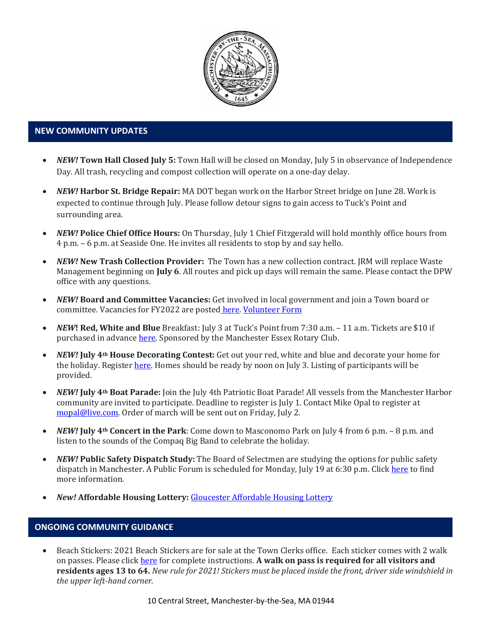

#### **NEW COMMUNITY UPDATES**

- *NEW!* **Town Hall Closed July 5:** Town Hall will be closed on Monday, July 5 in observance of Independence Day. All trash, recycling and compost collection will operate on a one-day delay.
- *NEW!* **Harbor St. Bridge Repair:** MA DOT began work on the Harbor Street bridge on June 28. Work is expected to continue through July. Please follow detour signs to gain access to Tuck's Point and surrounding area.
- *NEW!* **Police Chief Office Hours:** On Thursday, July 1 Chief Fitzgerald will hold monthly office hours from 4 p.m. – 6 p.m. at Seaside One. He invites all residents to stop by and say hello.
- *NEW!* **New Trash Collection Provider:** The Town has a new collection contract. JRM will replace Waste Management beginning on **July 6**. All routes and pick up days will remain the same. Please contact the DPW office with any questions.
- *NEW!* **Board and Committee Vacancies:** Get involved in local government and join a Town board or committee. Vacancies for FY2022 are posted [here.](https://www.manchester.ma.us/DocumentCenter/View/4030/APPPOINTMENT-VACANCIES-FY2022-) [Volunteer Form](http://www.manchester.ma.us/FormCenter/Board-of-Selectmen-13/Town-Committee-Volunteer-Application-55)
- *NEW***! Red, White and Blue** Breakfast: July 3 at Tuck's Point from 7:30 a.m. 11 a.m. Tickets are \$10 if purchased in advance [here.](https://manchesteressexrotary.org/) Sponsored by the Manchester Essex Rotary Club.
- *NEW!* **July 4th House Decorating Contest:** Get out your red, white and blue and decorate your home for the holiday. Registe[r here.](https://www.manchester.ma.us/FormCenter/4th-of-July-Committee-6/Parade-Float-Form-45) Homes should be ready by noon on July 3. Listing of participants will be provided.
- *NEW!* **July 4th Boat Parade:** Join the July 4th Patriotic Boat Parade! All vessels from the Manchester Harbor community are invited to participate. Deadline to register is July 1. Contact Mike Opal to register at [mopal@live.com.](mailto:mopal@live.com) Order of march will be sent out on Friday, July 2.
- *NEW!* **July 4th Concert in the Park**: Come down to Masconomo Park on July 4 from 6 p.m. 8 p.m. and listen to the sounds of the Compaq Big Band to celebrate the holiday.
- *NEW!* **Public Safety Dispatch Study:** The Board of Selectmen are studying the options for public safety dispatch in Manchester. A Public Forum is scheduled for Monday, July 19 at 6:30 p.m. Clic[k here](http://manchester.ma.us/747/Public-Safety-Dispatch) to find more information.
- *New!* **Affordable Housing Lottery:** [Gloucester Affordable Housing Lottery](https://www.manchester.ma.us/DocumentCenter/View/4050/Notice-of-Lottery-Good-Harbor-Condos)

#### **ONGOING COMMUNITY GUIDANCE**

• Beach Stickers: 2021 Beach Stickers are for sale at the Town Clerks office. Each sticker comes with 2 walk on passes. Please clic[k here](http://manchester.ma.us/252/Beach-Resident-Parking-Stickers) for complete instructions. **A walk on pass is required for all visitors and residents ages 13 to 64.** *New rule for 2021! Stickers must be placed inside the front, driver side windshield in the upper left-hand corner.*